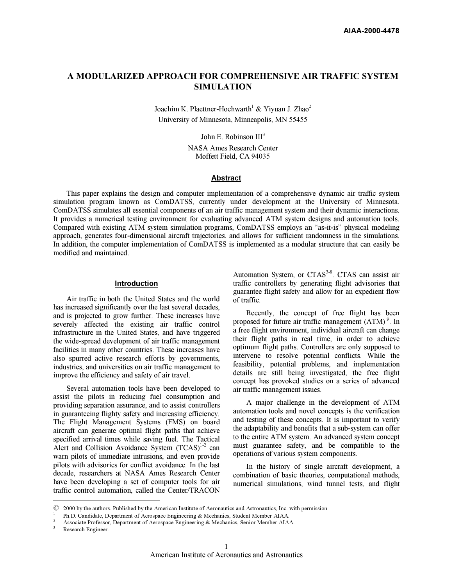# A MODULARIZED APPROACH FOR COMPREHENSIVE AIR TRAFFIC SYSTEM **SIMULATION**

Joachim K. Plaettner-Hochwarth<sup>1</sup> & Yiyuan J. Zhao<sup>2</sup> University of Minnesota, Minneapolis, MN 55455

> John E. Robinson  $III<sup>3</sup>$ NASA Ames Research Center Moffett Field, CA 94035

#### **Abstract**

This paper explains the design and computer implementation of a comprehensive dynamic air traffic system simulation program known as ComDATSS, currently under development at the University of Minnesota. ComDATSS simulates all essential components of an air traffic management system and their dynamic interactions. It provides a numerical testing environment for evaluating advanced ATM system designs and automation tools. Compared with existing ATM system simulation programs, ComDATSS employs an "as-it-is" physical modeling approach, generates four-dimensional aircraft trajectories, and allows for sufficient randomness in the simulations. In addition, the computer implementation of ComDATSS is implemented as a modular structure that can easily be modified and maintained.

#### Introduction

Air traffic in both the United States and the world has increased significantly over the last several decades, and is projected to grow further. These increases have severely affected the existing air traffic control infrastructure in the United States, and have triggered the wide-spread development of air traffic management facilities in many other countries. These increases have also spurred active research efforts by governments, industries, and universities on air traffic management to improve the efficiency and safety of air travel.

Several automation tools have been developed to assist the pilots in reducing fuel consumption and providing separation assurance, and to assist controllers in guaranteeing flighty safety and increasing efficiency. The Flight Management Systems (FMS) on board aircraft can generate optimal flight paths that achieve specified arrival times while saving fuel. The Tactical Alert and Collision Avoidance System  $(TCAS)^{1-2}$  can warn pilots of immediate intrusions, and even provide pilots with advisories for conflict avoidance. In the last decade, researchers at NASA Ames Research Center have been developing a set of computer tools for air traffic control automation, called the Center/TRACON

Automation System, or  $CTAS^{3-8}$ . CTAS can assist air traffic controllers by generating flight advisories that guarantee flight safety and allow for an expedient flow of traffic.

Recently, the concept of free flight has been proposed for future air traffic management  $(ATM)$ <sup>9</sup>. In a free flight environment, individual aircraft can change their flight paths in real time, in order to achieve optimum flight paths. Controllers are only supposed to intervene to resolve potential conflicts. While the feasibility, potential problems, and implementation details are still being investigated, the free flight concept has provoked studies on a series of advanced air traffic management issues.

A major challenge in the development of ATM automation tools and novel concepts is the verification and testing of these concepts. It is important to verify the adaptability and benefits that a sub-system can offer to the entire ATM system. An advanced system concept must guarantee safety, and be compatible to the operations of various system components.

In the history of single aircraft development, a combination of basic theories, computational methods, numerical simulations, wind tunnel tests, and flight

-

<sup>©</sup> 2000 by the authors. Published by the American Institute of Aeronautics and Astronautics, Inc. with permission <sup>1</sup>

Ph.D. Candidate, Department of Aerospace Engineering & Mechanics, Student Member AIAA.

<sup>2</sup> Associate Professor, Department of Aerospace Engineering & Mechanics, Senior Member AIAA. <sup>3</sup>

Research Engineer.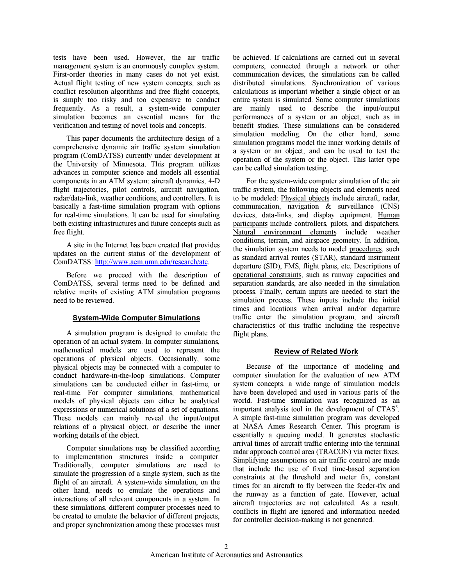tests have been used. However, the air traffic management system is an enormously complex system. First-order theories in many cases do not yet exist. Actual flight testing of new system concepts, such as conflict resolution algorithms and free flight concepts, is simply too risky and too expensive to conduct frequently. As a result, a system-wide computer simulation becomes an essential means for the verification and testing of novel tools and concepts.

This paper documents the architecture design of a comprehensive dynamic air traffic system simulation program (ComDATSS) currently under development at the University of Minnesota. This program utilizes advances in computer science and models all essential components in an ATM system: aircraft dynamics, 4-D flight trajectories, pilot controls, aircraft navigation, radar/data-link, weather conditions, and controllers. It is basically a fast-time simulation program with options for real-time simulations. It can be used for simulating both existing infrastructures and future concepts such as free flight.

A site in the Internet has been created that provides updates on the current status of the development of ComDATSS: http://www.aem.umn.edu/research/atc.

Before we proceed with the description of ComDATSS, several terms need to be defined and relative merits of existing ATM simulation programs need to be reviewed.

## System-Wide Computer Simulations

A simulation program is designed to emulate the operation of an actual system. In computer simulations, mathematical models are used to represent the operations of physical objects. Occasionally, some physical objects may be connected with a computer to conduct hardware-in-the-loop simulations. Computer simulations can be conducted either in fast-time, or real-time. For computer simulations, mathematical models of physical objects can either be analytical expressions or numerical solutions of a set of equations. These models can mainly reveal the input/output relations of a physical object, or describe the inner working details of the object.

Computer simulations may be classified according to implementation structures inside a computer. Traditionally, computer simulations are used to simulate the progression of a single system, such as the flight of an aircraft. A system-wide simulation, on the other hand, needs to emulate the operations and interactions of all relevant components in a system. In these simulations, different computer processes need to be created to emulate the behavior of different projects, and proper synchronization among these processes must

be achieved. If calculations are carried out in several computers, connected through a network or other communication devices, the simulations can be called distributed simulations. Synchronization of various calculations is important whether a single object or an entire system is simulated. Some computer simulations are mainly used to describe the input/output performances of a system or an object, such as in benefit studies. These simulations can be considered simulation modeling. On the other hand, some simulation programs model the inner working details of a system or an object, and can be used to test the operation of the system or the object. This latter type can be called simulation testing.

For the system-wide computer simulation of the air traffic system, the following objects and elements need to be modeled: Physical objects include aircraft, radar, communication, navigation & surveillance (CNS) devices, data-links, and display equipment. Human participants include controllers, pilots, and dispatchers. Natural environment elements include weather conditions, terrain, and airspace geometry. In addition, the simulation system needs to model procedures, such as standard arrival routes (STAR), standard instrument departure (SID), FMS, flight plans, etc. Descriptions of operational constraints, such as runway capacities and separation standards, are also needed in the simulation process. Finally, certain inputs are needed to start the simulation process. These inputs include the initial times and locations when arrival and/or departure traffic enter the simulation program, and aircraft characteristics of this traffic including the respective flight plans.

#### Review of Related Work

Because of the importance of modeling and computer simulation for the evaluation of new ATM system concepts, a wide range of simulation models have been developed and used in various parts of the world. Fast-time simulation was recognized as an important analysis tool in the development of  $CTAS<sup>5</sup>$ . A simple fast-time simulation program was developed at NASA Ames Research Center. This program is essentially a queuing model. It generates stochastic arrival times of aircraft traffic entering into the terminal radar approach control area (TRACON) via meter fixes. Simplifying assumptions on air traffic control are made that include the use of fixed time-based separation constraints at the threshold and meter fix, constant times for an aircraft to fly between the feeder-fix and the runway as a function of gate. However, actual aircraft trajectories are not calculated. As a result, conflicts in flight are ignored and information needed for controller decision-making is not generated.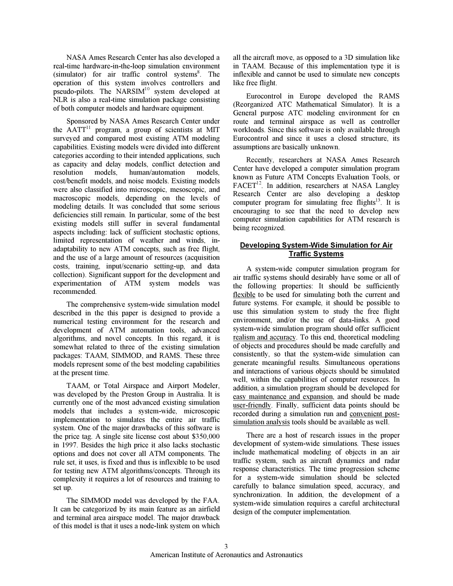NASA Ames Research Center has also developed a real-time hardware-in-the-loop simulation environment  $(\text{simulator})$  for air traffic control systems<sup>8</sup>. The operation of this system involves controllers and pseudo-pilots. The  $NARSIM^{10}$  system developed at NLR is also a real-time simulation package consisting of both computer models and hardware equipment.

Sponsored by NASA Ames Research Center under the  $AATT<sup>11</sup>$  program, a group of scientists at MIT surveyed and compared most existing ATM modeling capabilities. Existing models were divided into different categories according to their intended applications, such as capacity and delay models, conflict detection and resolution models, human/automation models, cost/benefit models, and noise models. Existing models were also classified into microscopic, mesoscopic, and macroscopic models, depending on the levels of modeling details. It was concluded that some serious deficiencies still remain. In particular, some of the best existing models still suffer in several fundamental aspects including: lack of sufficient stochastic options, limited representation of weather and winds, inadaptability to new ATM concepts, such as free flight, and the use of a large amount of resources (acquisition costs, training, input/scenario setting-up, and data collection). Significant support for the development and experimentation of ATM system models was recommended.

The comprehensive system-wide simulation model described in the this paper is designed to provide a numerical testing environment for the research and development of ATM automation tools, advanced algorithms, and novel concepts. In this regard, it is somewhat related to three of the existing simulation packages: TAAM, SIMMOD, and RAMS. These three models represent some of the best modeling capabilities at the present time.

TAAM, or Total Airspace and Airport Modeler, was developed by the Preston Group in Australia. It is currently one of the most advanced existing simulation models that includes a system-wide, microscopic implementation to simulates the entire air traffic system. One of the major drawbacks of this software is the price tag. A single site license cost about \$350,000 in 1997. Besides the high price it also lacks stochastic options and does not cover all ATM components. The rule set, it uses, is fixed and thus is inflexible to be used for testing new ATM algorithms/concepts. Through its complexity it requires a lot of resources and training to set up.

The SIMMOD model was developed by the FAA. It can be categorized by its main feature as an airfield and terminal area airspace model. The major drawback of this model is that it uses a node-link system on which

all the aircraft move, as opposed to a 3D simulation like in TAAM. Because of this implementation type it is inflexible and cannot be used to simulate new concepts like free flight.

Eurocontrol in Europe developed the RAMS (Reorganized ATC Mathematical Simulator). It is a General purpose ATC modeling environment for en route and terminal airspace as well as controller workloads. Since this software is only available through Eurocontrol and since it uses a closed structure, its assumptions are basically unknown.

Recently, researchers at NASA Ames Research Center have developed a computer simulation program known as Future ATM Concepts Evaluation Tools, or  $FACET<sup>12</sup>$ . In addition, researchers at NASA Langley Research Center are also developing a desktop computer program for simulating free flights<sup>13</sup>. It is encouraging to see that the need to develop new computer simulation capabilities for ATM research is being recognized.

## Developing System-Wide Simulation for Air Traffic Systems

A system-wide computer simulation program for air traffic systems should desirably have some or all of the following properties: It should be sufficiently flexible to be used for simulating both the current and future systems. For example, it should be possible to use this simulation system to study the free flight environment, and/or the use of data-links. A good system-wide simulation program should offer sufficient realism and accuracy. To this end, theoretical modeling of objects and procedures should be made carefully and consistently, so that the system-wide simulation can generate meaningful results. Simultaneous operations and interactions of various objects should be simulated well, within the capabilities of computer resources. In addition, a simulation program should be developed for easy maintenance and expansion, and should be made user-friendly. Finally, sufficient data points should be recorded during a simulation run and convenient postsimulation analysis tools should be available as well.

There are a host of research issues in the proper development of system-wide simulations. These issues include mathematical modeling of objects in an air traffic system, such as aircraft dynamics and radar response characteristics. The time progression scheme for a system-wide simulation should be selected carefully to balance simulation speed, accuracy, and synchronization. In addition, the development of a system-wide simulation requires a careful architectural design of the computer implementation.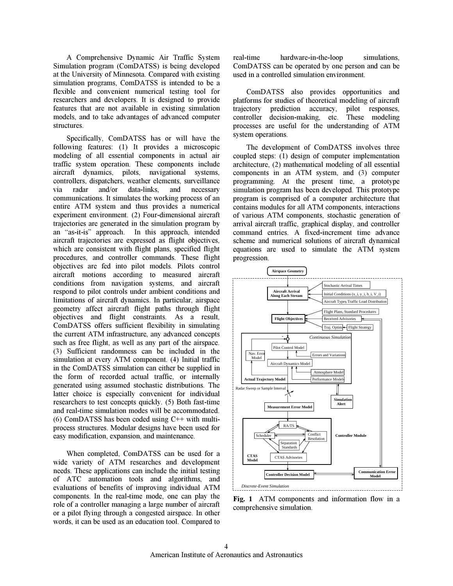A Comprehensive Dynamic Air Traffic System Simulation program (ComDATSS) is being developed at the University of Minnesota. Compared with existing simulation programs, ComDATSS is intended to be a flexible and convenient numerical testing tool for researchers and developers. It is designed to provide features that are not available in existing simulation models, and to take advantages of advanced computer structures.

Specifically, ComDATSS has or will have the following features: (1) It provides a microscopic modeling of all essential components in actual air traffic system operation. These components include aircraft dynamics, pilots, navigational systems, controllers, dispatchers, weather elements, surveillance via radar and/or data-links, and necessary communications. It simulates the working process of an entire ATM system and thus provides a numerical experiment environment. (2) Four-dimensional aircraft trajectories are generated in the simulation program by an "as-it-is" approach. In this approach, intended aircraft trajectories are expressed as flight objectives, which are consistent with flight plans, specified flight procedures, and controller commands. These flight objectives are fed into pilot models. Pilots control aircraft motions according to measured aircraft conditions from navigation systems, and aircraft respond to pilot controls under ambient conditions and limitations of aircraft dynamics. In particular, airspace geometry affect aircraft flight paths through flight objectives and flight constraints. As a result, ComDATSS offers sufficient flexibility in simulating the current ATM infrastructure, any advanced concepts such as free flight, as well as any part of the airspace. (3) Sufficient randomness can be included in the simulation at every ATM component. (4) Initial traffic in the ComDATSS simulation can either be supplied in the form of recorded actual traffic, or internally generated using assumed stochastic distributions. The latter choice is especially convenient for individual researchers to test concepts quickly. (5) Both fast-time and real-time simulation modes will be accommodated. (6) ComDATSS has been coded using C++ with multiprocess structures. Modular designs have been used for easy modification, expansion, and maintenance.

When completed, ComDATSS can be used for a wide variety of ATM researches and development needs. These applications can include the initial testing of ATC automation tools and algorithms, and evaluations of benefits of improving individual ATM components. In the real-time mode, one can play the role of a controller managing a large number of aircraft or a pilot flying through a congested airspace. In other words, it can be used as an education tool. Compared to

real-time hardware-in-the-loop simulations, ComDATSS can be operated by one person and can be used in a controlled simulation environment.

ComDATSS also provides opportunities and platforms for studies of theoretical modeling of aircraft trajectory prediction accuracy, pilot responses, controller decision-making, etc. These modeling processes are useful for the understanding of ATM system operations.

The development of ComDATSS involves three coupled steps: (1) design of computer implementation architecture, (2) mathematical modeling of all essential components in an ATM system, and (3) computer programming. At the present time, a prototype simulation program has been developed. This prototype program is comprised of a computer architecture that contains modules for all ATM components, interactions of various ATM components, stochastic generation of arrival aircraft traffic, graphical display, and controller command entries. A fixed-increment time advance scheme and numerical solutions of aircraft dynamical equations are used to simulate the ATM system progression.



Fig. 1 ATM components and information flow in a comprehensive simulation.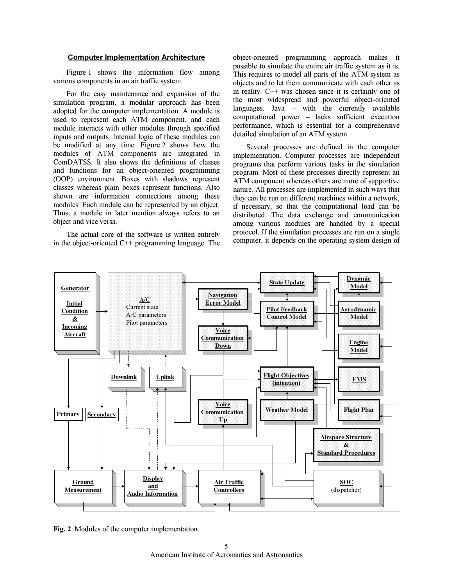### Computer Implementation Architecture

Figure 1 shows the information flow among various components in an air traffic system.

For the easy maintenance and expansion of the simulation program, a modular approach has been adopted for the computer implementation. A module is used to represent each ATM component, and each module interacts with other modules through specified inputs and outputs. Internal logic of these modules can be modified at any time. Figure 2 shows how the modules of ATM components are integrated in ComDATSS. It also shows the definitions of classes and functions for an object-oriented programming (OOP) environment. Boxes with shadows represent classes whereas plain boxes represent functions. Also shown are information connections among these modules. Each module can be represented by an object. Thus, a module in later mention always refers to an object and vice versa.

The actual core of the software is written entirely in the object-oriented C++ programming language. The object-oriented programming approach makes it possible to simulate the entire air traffic system as it is. This requires to model all parts of the ATM system as objects and to let them communicate with each other as in reality. C++ was chosen since it is certainly one of the most widespread and powerful object-oriented languages. Java – with the currently available computational power – lacks sufficient execution performance, which is essential for a comprehensive detailed simulation of an ATM system.

Several processes are defined in the computer implementation. Computer processes are independent programs that perform various tasks in the simulation program. Most of these processes directly represent an ATM component whereas others are more of supportive nature. All processes are implemented in such ways that they can be run on different machines within a network, if necessary, so that the computational load can be distributed. The data exchange and communication among various modules are handled by a special protocol. If the simulation processes are run on a single computer, it depends on the operating system design of



Fig. 2 Modules of the computer implementation.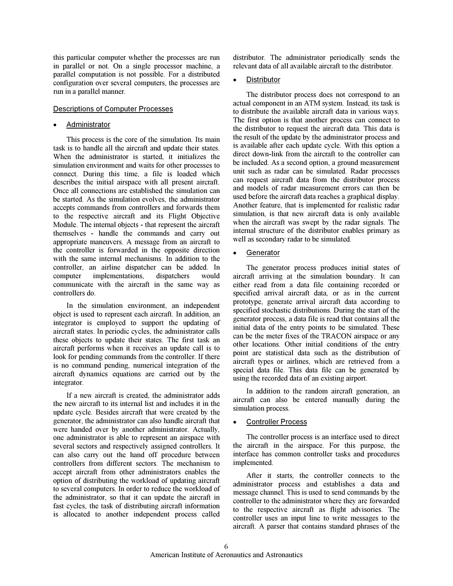this particular computer whether the processes are run in parallel or not. On a single processor machine, a parallel computation is not possible. For a distributed configuration over several computers, the processes are run in a parallel manner.

#### Descriptions of Computer Processes

### Administrator

This process is the core of the simulation. Its main task is to handle all the aircraft and update their states. When the administrator is started, it initializes the simulation environment and waits for other processes to connect. During this time, a file is loaded which describes the initial airspace with all present aircraft. Once all connections are established the simulation can be started. As the simulation evolves, the administrator accepts commands from controllers and forwards them to the respective aircraft and its Flight Objective Module. The internal objects - that represent the aircraft themselves - handle the commands and carry out appropriate maneuvers. A message from an aircraft to the controller is forwarded in the opposite direction with the same internal mechanisms. In addition to the controller, an airline dispatcher can be added. In computer implementations, dispatchers would communicate with the aircraft in the same way as controllers do.

In the simulation environment, an independent object is used to represent each aircraft. In addition, an integrator is employed to support the updating of aircraft states. In periodic cycles, the administrator calls these objects to update their states. The first task an aircraft performs when it receives an update call is to look for pending commands from the controller. If there is no command pending, numerical integration of the aircraft dynamics equations are carried out by the integrator.

If a new aircraft is created, the administrator adds the new aircraft to its internal list and includes it in the update cycle. Besides aircraft that were created by the generator, the administrator can also handle aircraft that were handed over by another administrator. Actually, one administrator is able to represent an airspace with several sectors and respectively assigned controllers. It can also carry out the hand off procedure between controllers from different sectors. The mechanism to accept aircraft from other administrators enables the option of distributing the workload of updating aircraft to several computers. In order to reduce the workload of the administrator, so that it can update the aircraft in fast cycles, the task of distributing aircraft information is allocated to another independent process called

distributor. The administrator periodically sends the relevant data of all available aircraft to the distributor.

### **Distributor**

The distributor process does not correspond to an actual component in an ATM system. Instead, its task is to distribute the available aircraft data in various ways. The first option is that another process can connect to the distributor to request the aircraft data. This data is the result of the update by the administrator process and is available after each update cycle. With this option a direct down-link from the aircraft to the controller can be included. As a second option, a ground measurement unit such as radar can be simulated. Radar processes can request aircraft data from the distributor process and models of radar measurement errors can then be used before the aircraft data reaches a graphical display. Another feature, that is implemented for realistic radar simulation, is that new aircraft data is only available when the aircraft was swept by the radar signals. The internal structure of the distributor enables primary as well as secondary radar to be simulated.

**Generator** 

The generator process produces initial states of aircraft arriving at the simulation boundary. It can either read from a data file containing recorded or specified arrival aircraft data, or as in the current prototype, generate arrival aircraft data according to specified stochastic distributions. During the start of the generator process, a data file is read that contains all the initial data of the entry points to be simulated. These can be the meter fixes of the TRACON airspace or any other locations. Other initial conditions of the entry point are statistical data such as the distribution of aircraft types or airlines, which are retrieved from a special data file. This data file can be generated by using the recorded data of an existing airport.

In addition to the random aircraft generation, an aircraft can also be entered manually during the simulation process.

#### Controller Process

The controller process is an interface used to direct the aircraft in the airspace. For this purpose, the interface has common controller tasks and procedures implemented.

After it starts, the controller connects to the administrator process and establishes a data and message channel. This is used to send commands by the controller to the administrator where they are forwarded to the respective aircraft as flight advisories. The controller uses an input line to write messages to the aircraft. A parser that contains standard phrases of the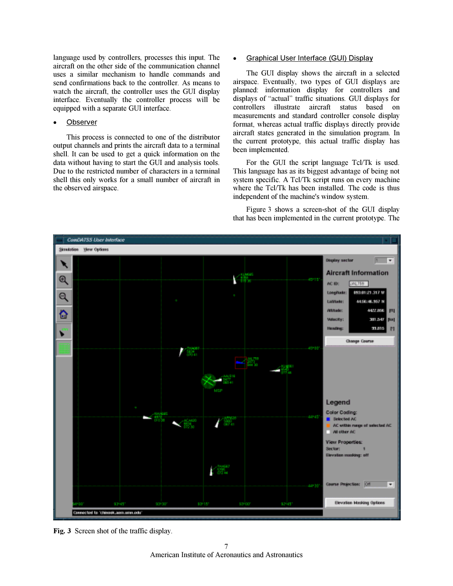language used by controllers, processes this input. The aircraft on the other side of the communication channel uses a similar mechanism to handle commands and send confirmations back to the controller. As means to watch the aircraft, the controller uses the GUI display interface. Eventually the controller process will be equipped with a separate GUI interface.

#### **Observer**

This process is connected to one of the distributor output channels and prints the aircraft data to a terminal shell. It can be used to get a quick information on the data without having to start the GUI and analysis tools. Due to the restricted number of characters in a terminal shell this only works for a small number of aircraft in the observed airspace.

#### Graphical User Interface (GUI) Display

The GUI display shows the aircraft in a selected airspace. Eventually, two types of GUI displays are planned: information display for controllers and displays of "actual" traffic situations. GUI displays for controllers illustrate aircraft status based on measurements and standard controller console display format, whereas actual traffic displays directly provide aircraft states generated in the simulation program. In the current prototype, this actual traffic display has been implemented.

For the GUI the script language Tcl/Tk is used. This language has as its biggest advantage of being not system specific. A Tcl/Tk script runs on every machine where the Tcl/Tk has been installed. The code is thus independent of the machine's window system.

Figure 3 shows a screen-shot of the GUI display that has been implemented in the current prototype. The



Fig. 3 Screen shot of the traffic display.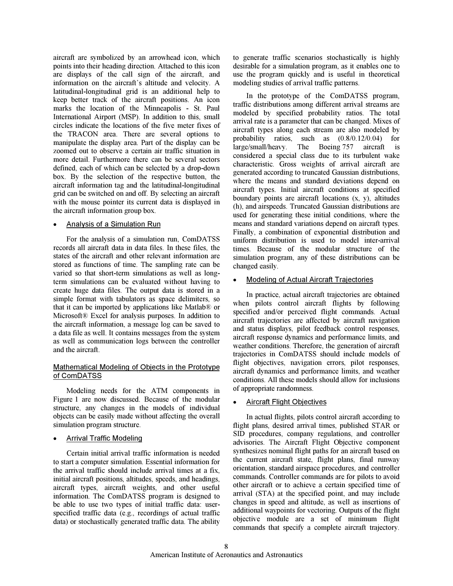aircraft are symbolized by an arrowhead icon, which points into their heading direction. Attached to this icon are displays of the call sign of the aircraft, and information on the aircraft's altitude and velocity. A latitudinal-longitudinal grid is an additional help to keep better track of the aircraft positions. An icon marks the location of the Minneapolis - St. Paul International Airport (MSP). In addition to this, small circles indicate the locations of the five meter fixes of the TRACON area. There are several options to manipulate the display area. Part of the display can be zoomed out to observe a certain air traffic situation in more detail. Furthermore there can be several sectors defined, each of which can be selected by a drop-down box. By the selection of the respective button, the aircraft information tag and the latitudinal-longitudinal grid can be switched on and off. By selecting an aircraft with the mouse pointer its current data is displayed in the aircraft information group box.

#### Analysis of a Simulation Run

For the analysis of a simulation run, ComDATSS records all aircraft data in data files. In these files, the states of the aircraft and other relevant information are stored as functions of time. The sampling rate can be varied so that short-term simulations as well as longterm simulations can be evaluated without having to create huge data files. The output data is stored in a simple format with tabulators as space delimiters, so that it can be imported by applications like Matlab® or Microsoft® Excel for analysis purposes. In addition to the aircraft information, a message log can be saved to a data file as well. It contains messages from the system as well as communication logs between the controller and the aircraft.

## Mathematical Modeling of Objects in the Prototype of ComDATSS

Modeling needs for the ATM components in Figure 1 are now discussed. Because of the modular structure, any changes in the models of individual objects can be easily made without affecting the overall simulation program structure.

## Arrival Traffic Modeling

Certain initial arrival traffic information is needed to start a computer simulation. Essential information for the arrival traffic should include arrival times at a fix, initial aircraft positions, altitudes, speeds, and headings, aircraft types, aircraft weights, and other useful information. The ComDATSS program is designed to be able to use two types of initial traffic data: userspecified traffic data (e.g., recordings of actual traffic data) or stochastically generated traffic data. The ability

to generate traffic scenarios stochastically is highly desirable for a simulation program, as it enables one to use the program quickly and is useful in theoretical modeling studies of arrival traffic patterns.

In the prototype of the ComDATSS program, traffic distributions among different arrival streams are modeled by specified probability ratios. The total arrival rate is a parameter that can be changed. Mixes of aircraft types along each stream are also modeled by probability ratios, such as (0.8/0.12/0.04) for large/small/heavy. The Boeing 757 aircraft is considered a special class due to its turbulent wake characteristic. Gross weights of arrival aircraft are generated according to truncated Gaussian distributions, where the means and standard deviations depend on aircraft types. Initial aircraft conditions at specified boundary points are aircraft locations (x, y), altitudes (h), and airspeeds. Truncated Gaussian distributions are used for generating these initial conditions, where the means and standard variations depend on aircraft types. Finally, a combination of exponential distribution and uniform distribution is used to model inter-arrival times. Because of the modular structure of the simulation program, any of these distributions can be changed easily.

## Modeling of Actual Aircraft Trajectories

In practice, actual aircraft trajectories are obtained when pilots control aircraft flights by following specified and/or perceived flight commands. Actual aircraft trajectories are affected by aircraft navigation and status displays, pilot feedback control responses, aircraft response dynamics and performance limits, and weather conditions. Therefore, the generation of aircraft trajectories in ComDATSS should include models of flight objectives, navigation errors, pilot responses, aircraft dynamics and performance limits, and weather conditions. All these models should allow for inclusions of appropriate randomness.

## Aircraft Flight Objectives

In actual flights, pilots control aircraft according to flight plans, desired arrival times, published STAR or SID procedures, company regulations, and controller advisories. The Aircraft Flight Objective component synthesizes nominal flight paths for an aircraft based on the current aircraft state, flight plans, final runway orientation, standard airspace procedures, and controller commands. Controller commands are for pilots to avoid other aircraft or to achieve a certain specified time of arrival (STA) at the specified point, and may include changes in speed and altitude, as well as insertions of additional waypoints for vectoring. Outputs of the flight objective module are a set of minimum flight commands that specify a complete aircraft trajectory.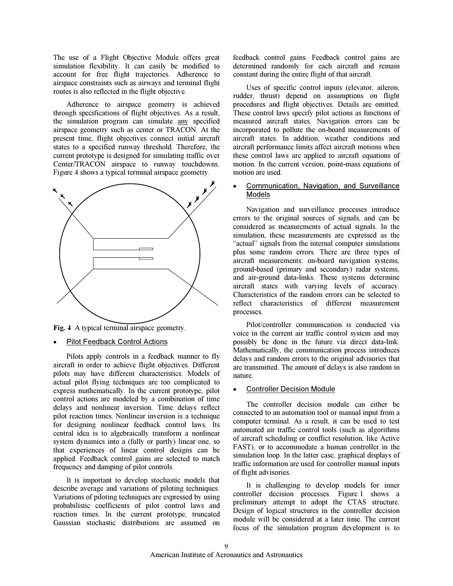The use of a Flight Objective Module offers great simulation flexibility. It can easily be modified to account for free flight trajectories. Adherence to airspace constraints such as airways and terminal flight routes is also reflected in the flight objective.

Adherence to airspace geometry is achieved through specifications of flight objectives. As a result, the simulation program can simulate any specified airspace geometry such as center or TRACON. At the present time, flight objectives connect initial aircraft states to a specified runway threshold. Therefore, the current prototype is designed for simulating traffic over Center/TRACON airspace to runway touchdowns. Figure 4 shows a typical terminal airspace geometry.



Fig. 4 A typical terminal airspace geometry.

Pilot Feedback Control Actions

Pilots apply controls in a feedback manner to fly aircraft in order to achieve flight objectives. Different pilots may have different characteristics. Models of actual pilot flying techniques are too complicated to express mathematically. In the current prototype, pilot control actions are modeled by a combination of time delays and nonlinear inversion. Time delays reflect pilot reaction times. Nonlinear inversion is a technique for designing nonlinear feedback control laws. Its central idea is to algebraically transform a nonlinear system dynamics into a (fully or partly) linear one, so that experiences of linear control designs can be applied. Feedback control gains are selected to match frequency and damping of pilot controls.

It is important to develop stochastic models that describe average and variations of piloting techniques. Variations of piloting techniques are expressed by using probabilistic coefficients of pilot control laws and reaction times. In the current prototype, truncated Gaussian stochastic distributions are assumed on feedback control gains. Feedback control gains are determined randomly for each aircraft and remain constant during the entire flight of that aircraft.

Uses of specific control inputs (elevator, aileron, rudder, thrust) depend on assumptions on flight procedures and flight objectives. Details are omitted. These control laws specify pilot actions as functions of measured aircraft states. Navigation errors can be incorporated to pollute the on-board measurements of aircraft states. In addition, weather conditions and aircraft performance limits affect aircraft motions when these control laws are applied to aircraft equations of motion. In the current version, point-mass equations of motion are used.

### Communication, Navigation, and Surveillance Models

Navigation and surveillance processes introduce errors to the original sources of signals, and can be considered as measurements of actual signals. In the simulation, these measurements are expressed as the "actual" signals from the internal computer simulations plus some random errors. There are three types of aircraft measurements: on-board navigation systems, ground-based (primary and secondary) radar systems, and air-ground data-links. These systems determine aircraft states with varying levels of accuracy. Characteristics of the random errors can be selected to reflect characteristics of different measurement processes.

Pilot/controller communication is conducted via voice in the current air traffic control system and may possibly be done in the future via direct data-link. Mathematically, the communication process introduces delays and random errors to the original advisories that are transmitted. The amount of delays is also random in nature.

## Controller Decision Module

The controller decision module can either be connected to an automation tool or manual input from a computer terminal. As a result, it can be used to test automated air traffic control tools (such as algorithms of aircraft scheduling or conflict resolution, like Active FAST), or to accommodate a human controller in the simulation loop. In the latter case, graphical displays of traffic information are used for controller manual inputs of flight advisories.

It is challenging to develop models for inner controller decision processes. Figure 1 shows a preliminary attempt to adopt the CTAS structure. Design of logical structures in the controller decision module will be considered at a later time. The current focus of the simulation program development is to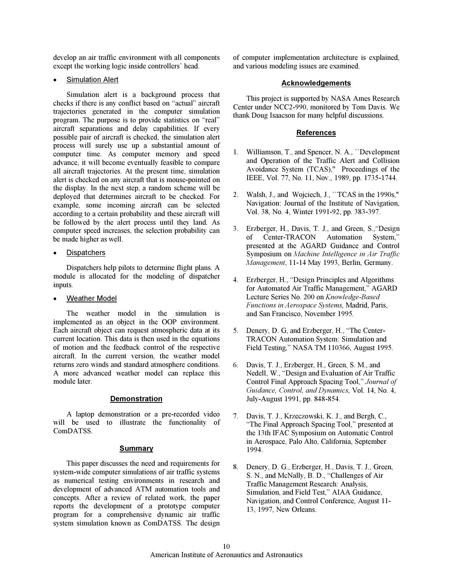develop an air traffic environment with all components except the working logic inside controllers' head.

Simulation Alert

Simulation alert is a background process that checks if there is any conflict based on "actual" aircraft trajectories generated in the computer simulation program. The purpose is to provide statistics on "real" aircraft separations and delay capabilities. If every possible pair of aircraft is checked, the simulation alert process will surely use up a substantial amount of computer time. As computer memory and speed advance, it will become eventually feasible to compare all aircraft trajectories. At the present time, simulation alert is checked on any aircraft that is mouse-pointed on the display. In the next step, a random scheme will be deployed that determines aircraft to be checked. For example, some incoming aircraft can be selected according to a certain probability and these aircraft will be followed by the alert process until they land. As computer speed increases, the selection probability can be made higher as well.

**Dispatchers** 

Dispatchers help pilots to determine flight plans. A module is allocated for the modeling of dispatcher inputs.

Weather Model

The weather model in the simulation is implemented as an object in the OOP environment. Each aircraft object can request atmospheric data at its current location. This data is then used in the equations of motion and the feedback control of the respective aircraft. In the current version, the weather model returns zero winds and standard atmosphere conditions. A more advanced weather model can replace this module later.

## **Demonstration**

A laptop demonstration or a pre-recorded video will be used to illustrate the functionality of ComDATSS.

#### Summary

This paper discusses the need and requirements for system-wide computer simulations of air traffic systems as numerical testing environments in research and development of advanced ATM automation tools and concepts. After a review of related work, the paper reports the development of a prototype computer program for a comprehensive dynamic air traffic system simulation known as ComDATSS. The design

of computer implementation architecture is explained, and various modeling issues are examined.

## Acknowledgements

This project is supported by NASA Ames Research Center under NCC2-990, monitored by Tom Davis. We thank Doug Isaacson for many helpful discussions.

## References

- 1. Williamson, T., and Spencer, N. A., ``Development and Operation of the Traffic Alert and Collision Avoidance System (TCAS),'' Proceedings of the IEEE, Vol. 77, No. 11, Nov., 1989, pp. 1735-1744.
- 2. Walsh, J., and Wojciech, J., ``TCAS in the 1990s,'' Navigation: Journal of the Institute of Navigation, Vol. 38, No. 4, Winter 1991-92, pp. 383-397.
- 3. Erzberger, H., Davis, T. J., and Green, S.,"Design of Center-TRACON Automation System," presented at the AGARD Guidance and Control Symposium on Machine Intelligence in Air Traffic Management, 11-14 May 1993, Berlin, Germany.
- 4. Erzberger, H., "Design Principles and Algorithms for Automated Air Traffic Management," AGARD Lecture Series No. 200 on Knowledge-Based Functions in Aerospace Systems, Madrid, Paris, and San Francisco, November 1995.
- 5. Denery, D. G, and Erzberger, H., "The Center-TRACON Automation System: Simulation and Field Testing," NASA TM 110366, August 1995.
- 6. Davis, T. J., Erzberger, H., Green, S. M., and Nedell, W., "Design and Evaluation of Air Traffic Control Final Approach Spacing Tool," Journal of Guidance, Control, and Dynamics, Vol. 14, No. 4, July-August 1991, pp. 848-854.
- 7. Davis, T. J., Krzeczowski, K. J., and Bergh, C., "The Final Approach Spacing Tool," presented at the 13th IFAC Symposium on Automatic Control in Aerospace, Palo Alto, California, September 1994.
- 8. Denery, D. G., Erzberger, H., Davis, T. J., Green, S. N., and McNally, B. D., "Challenges of Air Traffic Management Research: Analysis, Simulation, and Field Test," AIAA Guidance, Navigation, and Control Conference, August 11- 13, 1997, New Orleans.